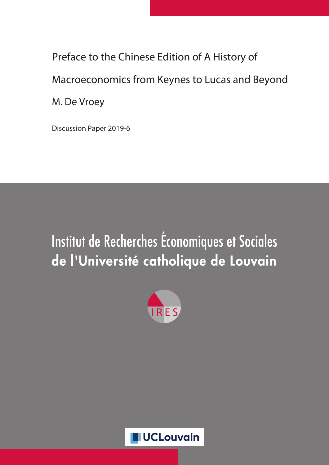Preface to the Chinese Edition of A History of Macroeconomics from Keynes to Lucas and Beyond M. De Vroey

Discussion Paper 2019-6

## Institut de Recherches Économiques et Sociales de l'Université catholique de Louvain



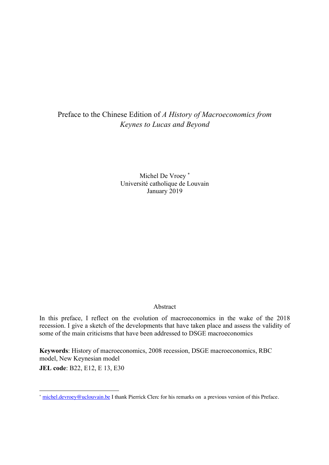## Preface to the Chinese Edition of *A History of Macroeconomics from Keynes to Lucas and Beyond*

Michel De Vroey \* Université catholique de Louvain January 2019

## Abstract

In this preface, I reflect on the evolution of macroeconomics in the wake of the 2018 recession. I give a sketch of the developments that have taken place and assess the validity of some of the main criticisms that have been addressed to DSGE macroeconomics

**Keywords**: History of macroeconomics, 2008 recession, DSGE macroeconomics, RBC model, New Keynesian model **JEL code**: B22, E12, E 13, E30

 $\overline{a}$ 

<sup>\*</sup> michel.devroey@uclouvain.be I thank Pierrick Clerc for his remarks on a previous version of this Preface.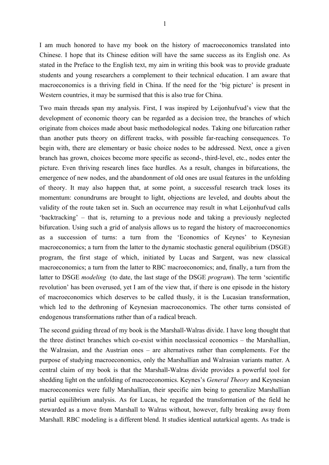I am much honored to have my book on the history of macroeconomics translated into Chinese. I hope that its Chinese edition will have the same success as its English one. As stated in the Preface to the English text, my aim in writing this book was to provide graduate students and young researchers a complement to their technical education. I am aware that macroeconomics is a thriving field in China. If the need for the 'big picture' is present in Western countries, it may be surmised that this is also true for China.

Two main threads span my analysis. First, I was inspired by Leijonhufvud's view that the development of economic theory can be regarded as a decision tree, the branches of which originate from choices made about basic methodological nodes. Taking one bifurcation rather than another puts theory on different tracks, with possible far-reaching consequences. To begin with, there are elementary or basic choice nodes to be addressed. Next, once a given branch has grown, choices become more specific as second-, third-level, etc., nodes enter the picture. Even thriving research lines face hurdles. As a result, changes in bifurcations, the emergence of new nodes, and the abandonment of old ones are usual features in the unfolding of theory. It may also happen that, at some point, a successful research track loses its momentum: conundrums are brought to light, objections are leveled, and doubts about the validity of the route taken set in. Such an occurrence may result in what Leijonhufvud calls 'backtracking' – that is, returning to a previous node and taking a previously neglected bifurcation. Using such a grid of analysis allows us to regard the history of macroeconomics as a succession of turns: a turn from the 'Economics of Keynes' to Keynesian macroeconomics; a turn from the latter to the dynamic stochastic general equilibrium (DSGE) program, the first stage of which, initiated by Lucas and Sargent, was new classical macroeconomics; a turn from the latter to RBC macroeconomics; and, finally, a turn from the latter to DSGE *modeling* (to date, the last stage of the DSGE *program*). The term 'scientific revolution' has been overused, yet I am of the view that, if there is one episode in the history of macroeconomics which deserves to be called thusly, it is the Lucasian transformation, which led to the dethroning of Keynesian macroeconomics. The other turns consisted of endogenous transformations rather than of a radical breach.

The second guiding thread of my book is the Marshall-Walras divide. I have long thought that the three distinct branches which co-exist within neoclassical economics – the Marshallian, the Walrasian, and the Austrian ones – are alternatives rather than complements. For the purpose of studying macroeconomics, only the Marshallian and Walrasian variants matter. A central claim of my book is that the Marshall-Walras divide provides a powerful tool for shedding light on the unfolding of macroeconomics. Keynes's *General Theory* and Keynesian macroeconomics were fully Marshallian, their specific aim being to generalize Marshallian partial equilibrium analysis. As for Lucas, he regarded the transformation of the field he stewarded as a move from Marshall to Walras without, however, fully breaking away from Marshall. RBC modeling is a different blend. It studies identical autarkical agents. As trade is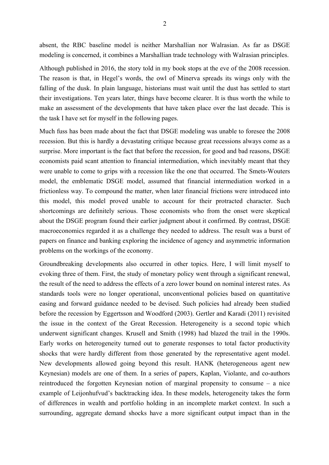absent, the RBC baseline model is neither Marshallian nor Walrasian. As far as DSGE modeling is concerned, it combines a Marshallian trade technology with Walrasian principles.

Although published in 2016, the story told in my book stops at the eve of the 2008 recession. The reason is that, in Hegel's words, the owl of Minerva spreads its wings only with the falling of the dusk. In plain language, historians must wait until the dust has settled to start their investigations. Ten years later, things have become clearer. It is thus worth the while to make an assessment of the developments that have taken place over the last decade. This is the task I have set for myself in the following pages.

Much fuss has been made about the fact that DSGE modeling was unable to foresee the 2008 recession. But this is hardly a devastating critique because great recessions always come as a surprise. More important is the fact that before the recession, for good and bad reasons, DSGE economists paid scant attention to financial intermediation, which inevitably meant that they were unable to come to grips with a recession like the one that occurred. The Smets-Wouters model, the emblematic DSGE model, assumed that financial intermediation worked in a frictionless way. To compound the matter, when later financial frictions were introduced into this model, this model proved unable to account for their protracted character. Such shortcomings are definitely serious. Those economists who from the onset were skeptical about the DSGE program found their earlier judgment about it confirmed. By contrast, DSGE macroeconomics regarded it as a challenge they needed to address. The result was a burst of papers on finance and banking exploring the incidence of agency and asymmetric information problems on the workings of the economy.

Groundbreaking developments also occurred in other topics. Here, I will limit myself to evoking three of them. First, the study of monetary policy went through a significant renewal, the result of the need to address the effects of a zero lower bound on nominal interest rates. As standards tools were no longer operational, unconventional policies based on quantitative easing and forward guidance needed to be devised. Such policies had already been studied before the recession by Eggertsson and Woodford (2003). Gertler and Karadi (2011) revisited the issue in the context of the Great Recession. Heterogeneity is a second topic which underwent significant changes. Krusell and Smith (1998) had blazed the trail in the 1990s. Early works on heterogeneity turned out to generate responses to total factor productivity shocks that were hardly different from those generated by the representative agent model. New developments allowed going beyond this result. HANK (heterogeneous agent new Keynesian) models are one of them. In a series of papers, Kaplan, Violante, and co-authors reintroduced the forgotten Keynesian notion of marginal propensity to consume – a nice example of Leijonhufvud's backtracking idea. In these models, heterogeneity takes the form of differences in wealth and portfolio holding in an incomplete market context. In such a surrounding, aggregate demand shocks have a more significant output impact than in the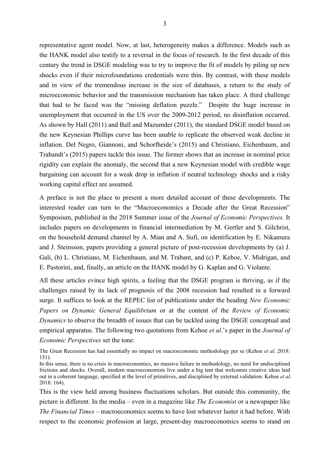representative agent model. Now, at last, heterogeneity makes a difference. Models such as the HANK model also testify to a reversal in the focus of research. In the first decade of this century the trend in DSGE modeling was to try to improve the fit of models by piling up new shocks even if their microfoundations credentials were thin. By contrast, with these models and in view of the tremendous increase in the size of databases, a return to the study of microeconomic behavior and the transmission mechanism has taken place. A third challenge that had to be faced was the "missing deflation puzzle." Despite the huge increase in unemployment that occurred in the US over the 2009-2012 period, no disinflation occurred. As shown by Hall (2011) and Ball and Mazumder (2011), the standard DSGE model based on the new Keynesian Phillips curve has been unable to replicate the observed weak decline in inflation. Del Negro, Giannoni, and Schorfheide's (2015) and Christiano, Eichenbaum, and Trabandt's (2015) papers tackle this issue. The former shows that an increase in nominal price rigidity can explain the anomaly, the second that a new Keynesian model with credible wage bargaining can account for a weak drop in inflation if neutral technology shocks and a risky working capital effect are assumed.

A preface is not the place to present a more detailed account of these developments. The interested reader can turn to the "Macroeconomics a Decade after the Great Recession" Symposium, published in the 2018 Summer issue of the *Journal of Economic Perspectives.* It includes papers on developments in financial intermediation by M. Gertler and S. Gilchrist, on the household demand channel by A. Mian and A. Sufi, on identification by E. Nikamura and J. Steinsson, papers providing a general picture of post-recession developments by (a) J. Gali, (b) L. Christiano, M. Eichenbaum, and M. Trabant, and (c) P. Kehoe, V. Midrigan, and E. Pastorini, and, finally, an article on the HANK model by G. Kaplan and G. Violante.

All these articles evince high spirits, a feeling that the DSGE program is thriving, as if the challenges raised by its lack of prognosis of the 2008 recession had resulted in a forward surge. It suffices to look at the REPEC list of publications under the heading *New Economic Papers on Dynamic General Equilibrium* or at the content of the *Review of Economic Dynamics* to observe the breadth of issues that can be tackled using the DSGE conceptual and empirical apparatus. The following two quotations from Kehoe *et al*.'s paper in the *Journal of Economic Perspectives* set the tone:

The Great Recession has had essentially no impact on macroeconomic methodology per se (Kehoe *et al*. 2018: 151).

This is the view held among business fluctuations scholars. But outside this community, the picture is different. In the media – even in a magazine like *The Economist* or a newspaper like *The Financial Times* – macroeconomics seems to have lost whatever luster it had before. With respect to the economic profession at large, present-day macroeconomics seems to stand on

In this sense, there is no crisis in macroeconomics, no massive failure in methodology, no need for undisciplined frictions and shocks. Overall, modern macroeconomists live under a big tent that welcomes creative ideas laid out in a coherent language, specified at the level of primitives, and disciplined by external validation. Kehoe *et al*. 2018: 164).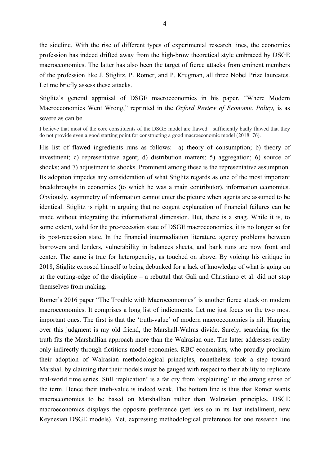the sideline. With the rise of different types of experimental research lines, the economics profession has indeed drifted away from the high-brow theoretical style embraced by DSGE macroeconomics. The latter has also been the target of fierce attacks from eminent members of the profession like J. Stiglitz, P. Romer, and P. Krugman, all three Nobel Prize laureates. Let me briefly assess these attacks.

Stiglitz's general appraisal of DSGE macroeconomics in his paper, "Where Modern Macroeconomics Went Wrong," reprinted in the *Oxford Review of Economic Policy,* is as severe as can be.

I believe that most of the core constituents of the DSGE model are flawed—sufficiently badly flawed that they do not provide even a good starting point for constructing a good macroeconomic model (2018: 76).

His list of flawed ingredients runs as follows: a) theory of consumption; b) theory of investment; c) representative agent; d) distribution matters; 5) aggregation; 6) source of shocks; and 7) adjustment to shocks. Prominent among these is the representative assumption. Its adoption impedes any consideration of what Stiglitz regards as one of the most important breakthroughs in economics (to which he was a main contributor), information economics. Obviously, asymmetry of information cannot enter the picture when agents are assumed to be identical. Stiglitz is right in arguing that no cogent explanation of financial failures can be made without integrating the informational dimension. But, there is a snag. While it is, to some extent, valid for the pre-recession state of DSGE macroeconomics, it is no longer so for its post-recession state. In the financial intermediation literature, agency problems between borrowers and lenders, vulnerability in balances sheets, and bank runs are now front and center. The same is true for heterogeneity, as touched on above. By voicing his critique in 2018, Stiglitz exposed himself to being debunked for a lack of knowledge of what is going on at the cutting-edge of the discipline – a rebuttal that Gali and Christiano et al. did not stop themselves from making.

Romer's 2016 paper "The Trouble with Macroeconomics" is another fierce attack on modern macroeconomics. It comprises a long list of indictments. Let me just focus on the two most important ones. The first is that the 'truth-value' of modern macroeconomics is nil. Hanging over this judgment is my old friend, the Marshall-Walras divide. Surely, searching for the truth fits the Marshallian approach more than the Walrasian one. The latter addresses reality only indirectly through fictitious model economies. RBC economists, who proudly proclaim their adoption of Walrasian methodological principles, nonetheless took a step toward Marshall by claiming that their models must be gauged with respect to their ability to replicate real-world time series. Still 'replication' is a far cry from 'explaining' in the strong sense of the term. Hence their truth-value is indeed weak. The bottom line is thus that Romer wants macroeconomics to be based on Marshallian rather than Walrasian principles. DSGE macroeconomics displays the opposite preference (yet less so in its last installment, new Keynesian DSGE models). Yet, expressing methodological preference for one research line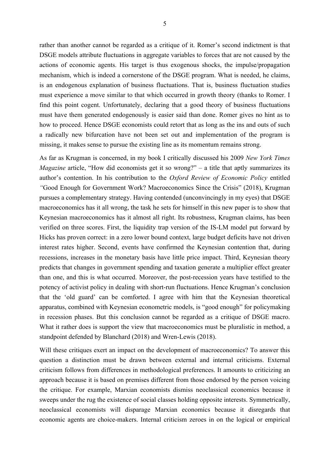rather than another cannot be regarded as a critique of it. Romer's second indictment is that DSGE models attribute fluctuations in aggregate variables to forces that are not caused by the actions of economic agents. His target is thus exogenous shocks, the impulse/propagation mechanism, which is indeed a cornerstone of the DSGE program. What is needed, he claims, is an endogenous explanation of business fluctuations. That is, business fluctuation studies must experience a move similar to that which occurred in growth theory (thanks to Romer. I find this point cogent. Unfortunately, declaring that a good theory of business fluctuations must have them generated endogenously is easier said than done. Romer gives no hint as to how to proceed. Hence DSGE economists could retort that as long as the ins and outs of such a radically new bifurcation have not been set out and implementation of the program is missing, it makes sense to pursue the existing line as its momentum remains strong.

As far as Krugman is concerned, in my book I critically discussed his 2009 *New York Times Magazine* article, "How did economists get it so wrong?" – a title that aptly summarizes its author's contention. In his contribution to the *Oxford Review of Economic Policy* entitled *"*Good Enough for Government Work? Macroeconomics Since the Crisis" (2018), Krugman pursues a complementary strategy. Having contended (unconvincingly in my eyes) that DSGE macroeconomics has it all wrong, the task he sets for himself in this new paper is to show that Keynesian macroeconomics has it almost all right. Its robustness, Krugman claims, has been verified on three scores. First, the liquidity trap version of the IS-LM model put forward by Hicks has proven correct: in a zero lower bound context, large budget deficits have not driven interest rates higher. Second, events have confirmed the Keynesian contention that, during recessions, increases in the monetary basis have little price impact. Third, Keynesian theory predicts that changes in government spending and taxation generate a multiplier effect greater than one, and this is what occurred. Moreover, the post-recession years have testified to the potency of activist policy in dealing with short-run fluctuations. Hence Krugman's conclusion that the 'old guard' can be comforted. I agree with him that the Keynesian theoretical apparatus, combined with Keynesian econometric models, is "good enough" for policymaking in recession phases. But this conclusion cannot be regarded as a critique of DSGE macro. What it rather does is support the view that macroeconomics must be pluralistic in method, a standpoint defended by Blanchard (2018) and Wren-Lewis (2018).

Will these critiques exert an impact on the development of macroeconomics? To answer this question a distinction must be drawn between external and internal criticisms. External criticism follows from differences in methodological preferences. It amounts to criticizing an approach because it is based on premises different from those endorsed by the person voicing the critique. For example, Marxian economists dismiss neoclassical economics because it sweeps under the rug the existence of social classes holding opposite interests. Symmetrically, neoclassical economists will disparage Marxian economics because it disregards that economic agents are choice-makers. Internal criticism zeroes in on the logical or empirical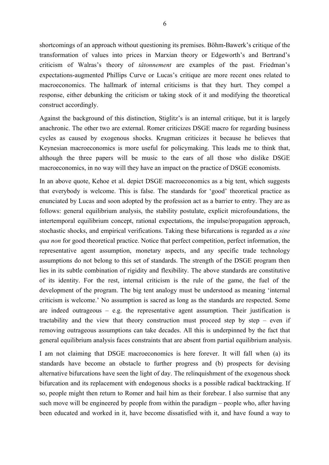shortcomings of an approach without questioning its premises. Böhm-Bawerk's critique of the transformation of values into prices in Marxian theory or Edgeworth's and Bertrand's criticism of Walras's theory of *tâtonnement* are examples of the past. Friedman's expectations-augmented Phillips Curve or Lucas's critique are more recent ones related to macroeconomics. The hallmark of internal criticisms is that they hurt. They compel a response, either debunking the criticism or taking stock of it and modifying the theoretical construct accordingly.

Against the background of this distinction, Stiglitz's is an internal critique, but it is largely anachronic. The other two are external. Romer criticizes DSGE macro for regarding business cycles as caused by exogenous shocks. Krugman criticizes it because he believes that Keynesian macroeconomics is more useful for policymaking. This leads me to think that, although the three papers will be music to the ears of all those who dislike DSGE macroeconomics, in no way will they have an impact on the practice of DSGE economists.

In an above quote, Kehoe et al. depict DSGE macroeconomics as a big tent, which suggests that everybody is welcome. This is false. The standards for 'good' theoretical practice as enunciated by Lucas and soon adopted by the profession act as a barrier to entry. They are as follows: general equilibrium analysis, the stability postulate, explicit microfoundations, the intertemporal equilibrium concept, rational expectations, the impulse/propagation approach, stochastic shocks, and empirical verifications. Taking these bifurcations is regarded as *a sine qua non* for good theoretical practice. Notice that perfect competition, perfect information, the representative agent assumption, monetary aspects, and any specific trade technology assumptions do not belong to this set of standards. The strength of the DSGE program then lies in its subtle combination of rigidity and flexibility. The above standards are constitutive of its identity. For the rest, internal criticism is the rule of the game, the fuel of the development of the program. The big tent analogy must be understood as meaning 'internal criticism is welcome.' No assumption is sacred as long as the standards are respected. Some are indeed outrageous – e.g. the representative agent assumption. Their justification is tractability and the view that theory construction must proceed step by step – even if removing outrageous assumptions can take decades. All this is underpinned by the fact that general equilibrium analysis faces constraints that are absent from partial equilibrium analysis.

I am not claiming that DSGE macroeconomics is here forever. It will fall when (a) its standards have become an obstacle to further progress and (b) prospects for devising alternative bifurcations have seen the light of day. The relinquishment of the exogenous shock bifurcation and its replacement with endogenous shocks is a possible radical backtracking. If so, people might then return to Romer and hail him as their forebear. I also surmise that any such move will be engineered by people from within the paradigm – people who, after having been educated and worked in it, have become dissatisfied with it, and have found a way to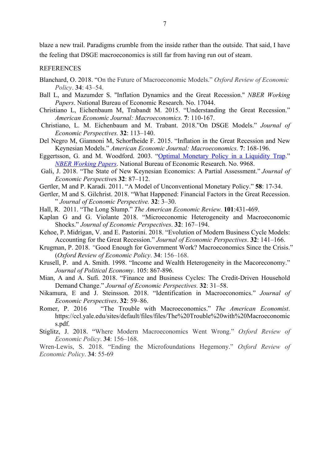blaze a new trail. Paradigms crumble from the inside rather than the outside. That said, I have the feeling that DSGE macroeconomics is still far from having run out of steam.

## REFERENCES

- Blanchard, O. 2018. "On the Future of Macroeconomic Models." *Oxford Review of Economic Policy*. **34**: 43–54.
- Ball L, and Mazumder S. ''Inflation Dynamics and the Great Recession.'' *NBER Working Papers*. National Bureau of Economic Research. No. 17044.
- Christiano L, Eichenbaum M, Trabandt M. 2015. "Understanding the Great Recession." *American Economic Journal: Macroeconomics.* **7**: 110-167.
- Christiano, L. M. Eichenbaum and M. Trabant. 2018."On DSGE Models." *Journal of Economic Perspectives.* **32**: 113–140.
- Del Negro M, Giannoni M, Schorfheide F. 2015. "Inflation in the Great Recession and New Keynesian Models." *American Economic Journal: Macroeconomics.* **7**: 168-196.
- Eggertsson, G. and M. Woodford. 2003. "Optimal Monetary Policy in a Liquidity Trap." *NBER Working Papers*. National Bureau of Economic Research. No. 9968.
- Gali, J. 2018. "The State of New Keynesian Economics: A Partial Assessment." *Journal of Economic Perspective*s **32**: 87–112.
- Gertler, M and P. Karadi. 2011. "A Model of Unconventional Monetary Policy." **58**: 17-34.
- Gertler, M and S. Gilchrist. 2018. "What Happened: Financial Factors in the Great Recession. " *Journal of Economic Perspective.* **32**: 3–30.
- Hall, R. 2011. "The Long Slump." *The American Economic Review.* **101**:431-469.
- Kaplan G and G. Violante 2018. "Microeconomic Heterogeneity and Macroeconomic Shocks." *Journal of Economic Perspectives*. **32**: 167–194.
- Kehoe, P. Midrigan, V. and E. Pastorini. 2018. "Evolution of Modern Business Cycle Models: Accounting for the Great Recession." *Journal of Economic Perspectives*. **32**: 141–166.
- Krugman, P. 2018. *"*Good Enough for Government Work? Macroeconomics Since the Crisis." (*Oxford Review of Economic Policy*. **34**: 156–168.
- Krusell, P. and A. Smith. 1998. "Income and Wealth Heterogeneity in the Macoreconomy." *Journal of Political Economy*. 105: 867-896.
- Mian, A and A. Sufi. 2018. "Finance and Business Cycles: The Credit-Driven Household Demand Change." *Journal of Economic Perspectives.* **32**: 31–58.
- Nikamura, E and J. Steinsson. 2018. "Identification in Macroeconomics." *Journal of Economic Perspectives*. **32**: 59–86.
- Romer, P. 2016 "The Trouble with Macroeconomics." *The American Economist*. https://ccl.yale.edu/sites/default/files/files/The%20Trouble%20with%20Macroeconomic s.pdf.
- Stiglitz, J. 2018. "Where Modern Macroeconomics Went Wrong." *Oxford Review of Economic Policy*. **34**: 156–168.

Wren-Lewis, S. 2018. "Ending the Microfoundations Hegemony." *Oxford Review of Economic Policy*. **34**: 55-69